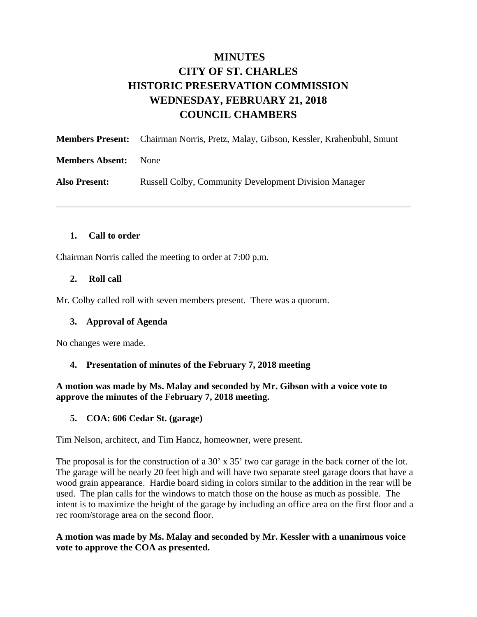# **MINUTES CITY OF ST. CHARLES HISTORIC PRESERVATION COMMISSION WEDNESDAY, FEBRUARY 21, 2018 COUNCIL CHAMBERS**

|                        | <b>Members Present:</b> Chairman Norris, Pretz, Malay, Gibson, Kessler, Krahenbuhl, Smunt |
|------------------------|-------------------------------------------------------------------------------------------|
| <b>Members Absent:</b> | None                                                                                      |
| <b>Also Present:</b>   | <b>Russell Colby, Community Development Division Manager</b>                              |

\_\_\_\_\_\_\_\_\_\_\_\_\_\_\_\_\_\_\_\_\_\_\_\_\_\_\_\_\_\_\_\_\_\_\_\_\_\_\_\_\_\_\_\_\_\_\_\_\_\_\_\_\_\_\_\_\_\_\_\_\_\_\_\_\_\_\_\_\_\_\_\_\_\_\_\_

### **1. Call to order**

Chairman Norris called the meeting to order at 7:00 p.m.

### **2. Roll call**

Mr. Colby called roll with seven members present. There was a quorum.

#### **3. Approval of Agenda**

No changes were made.

#### **4. Presentation of minutes of the February 7, 2018 meeting**

**A motion was made by Ms. Malay and seconded by Mr. Gibson with a voice vote to approve the minutes of the February 7, 2018 meeting.** 

#### **5. COA: 606 Cedar St. (garage)**

Tim Nelson, architect, and Tim Hancz, homeowner, were present.

The proposal is for the construction of a 30' x 35' two car garage in the back corner of the lot. The garage will be nearly 20 feet high and will have two separate steel garage doors that have a wood grain appearance. Hardie board siding in colors similar to the addition in the rear will be used. The plan calls for the windows to match those on the house as much as possible. The intent is to maximize the height of the garage by including an office area on the first floor and a rec room/storage area on the second floor.

#### **A motion was made by Ms. Malay and seconded by Mr. Kessler with a unanimous voice vote to approve the COA as presented.**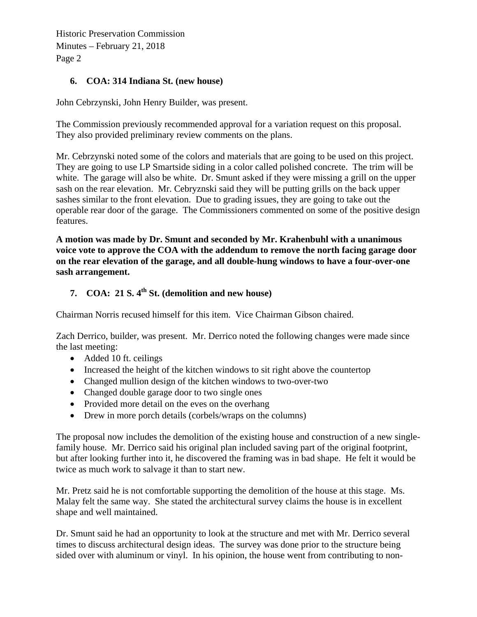Historic Preservation Commission Minutes – February 21, 2018 Page 2

## **6. COA: 314 Indiana St. (new house)**

John Cebrzynski, John Henry Builder, was present.

The Commission previously recommended approval for a variation request on this proposal. They also provided preliminary review comments on the plans.

Mr. Cebrzynski noted some of the colors and materials that are going to be used on this project. They are going to use LP Smartside siding in a color called polished concrete. The trim will be white. The garage will also be white. Dr. Smunt asked if they were missing a grill on the upper sash on the rear elevation. Mr. Cebryznski said they will be putting grills on the back upper sashes similar to the front elevation. Due to grading issues, they are going to take out the operable rear door of the garage. The Commissioners commented on some of the positive design features.

**A motion was made by Dr. Smunt and seconded by Mr. Krahenbuhl with a unanimous voice vote to approve the COA with the addendum to remove the north facing garage door on the rear elevation of the garage, and all double-hung windows to have a four-over-one sash arrangement.** 

# **7. COA: 21 S. 4th St. (demolition and new house)**

Chairman Norris recused himself for this item. Vice Chairman Gibson chaired.

Zach Derrico, builder, was present. Mr. Derrico noted the following changes were made since the last meeting:

- Added 10 ft. ceilings
- Increased the height of the kitchen windows to sit right above the countertop
- Changed mullion design of the kitchen windows to two-over-two
- Changed double garage door to two single ones
- Provided more detail on the eves on the overhang
- Drew in more porch details (corbels/wraps on the columns)

The proposal now includes the demolition of the existing house and construction of a new singlefamily house. Mr. Derrico said his original plan included saving part of the original footprint, but after looking further into it, he discovered the framing was in bad shape. He felt it would be twice as much work to salvage it than to start new.

Mr. Pretz said he is not comfortable supporting the demolition of the house at this stage. Ms. Malay felt the same way. She stated the architectural survey claims the house is in excellent shape and well maintained.

Dr. Smunt said he had an opportunity to look at the structure and met with Mr. Derrico several times to discuss architectural design ideas. The survey was done prior to the structure being sided over with aluminum or vinyl. In his opinion, the house went from contributing to non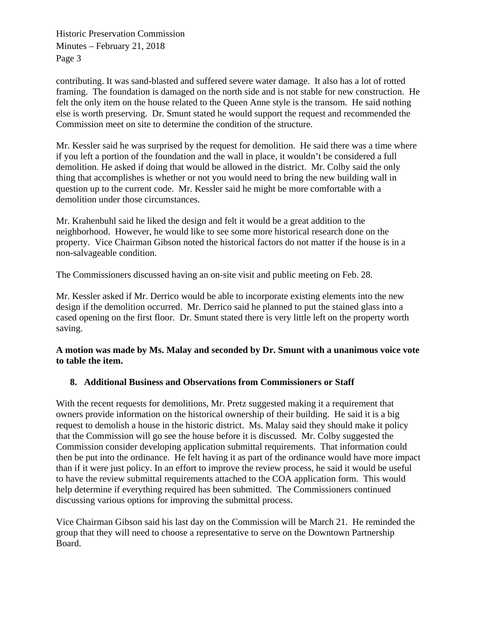Historic Preservation Commission Minutes – February 21, 2018 Page 3

contributing. It was sand-blasted and suffered severe water damage. It also has a lot of rotted framing. The foundation is damaged on the north side and is not stable for new construction. He felt the only item on the house related to the Queen Anne style is the transom. He said nothing else is worth preserving. Dr. Smunt stated he would support the request and recommended the Commission meet on site to determine the condition of the structure.

Mr. Kessler said he was surprised by the request for demolition. He said there was a time where if you left a portion of the foundation and the wall in place, it wouldn't be considered a full demolition. He asked if doing that would be allowed in the district. Mr. Colby said the only thing that accomplishes is whether or not you would need to bring the new building wall in question up to the current code. Mr. Kessler said he might be more comfortable with a demolition under those circumstances.

Mr. Krahenbuhl said he liked the design and felt it would be a great addition to the neighborhood. However, he would like to see some more historical research done on the property. Vice Chairman Gibson noted the historical factors do not matter if the house is in a non-salvageable condition.

The Commissioners discussed having an on-site visit and public meeting on Feb. 28.

Mr. Kessler asked if Mr. Derrico would be able to incorporate existing elements into the new design if the demolition occurred. Mr. Derrico said he planned to put the stained glass into a cased opening on the first floor. Dr. Smunt stated there is very little left on the property worth saving.

## **A motion was made by Ms. Malay and seconded by Dr. Smunt with a unanimous voice vote to table the item.**

# **8. Additional Business and Observations from Commissioners or Staff**

With the recent requests for demolitions, Mr. Pretz suggested making it a requirement that owners provide information on the historical ownership of their building. He said it is a big request to demolish a house in the historic district. Ms. Malay said they should make it policy that the Commission will go see the house before it is discussed. Mr. Colby suggested the Commission consider developing application submittal requirements. That information could then be put into the ordinance. He felt having it as part of the ordinance would have more impact than if it were just policy. In an effort to improve the review process, he said it would be useful to have the review submittal requirements attached to the COA application form. This would help determine if everything required has been submitted. The Commissioners continued discussing various options for improving the submittal process.

Vice Chairman Gibson said his last day on the Commission will be March 21. He reminded the group that they will need to choose a representative to serve on the Downtown Partnership Board.